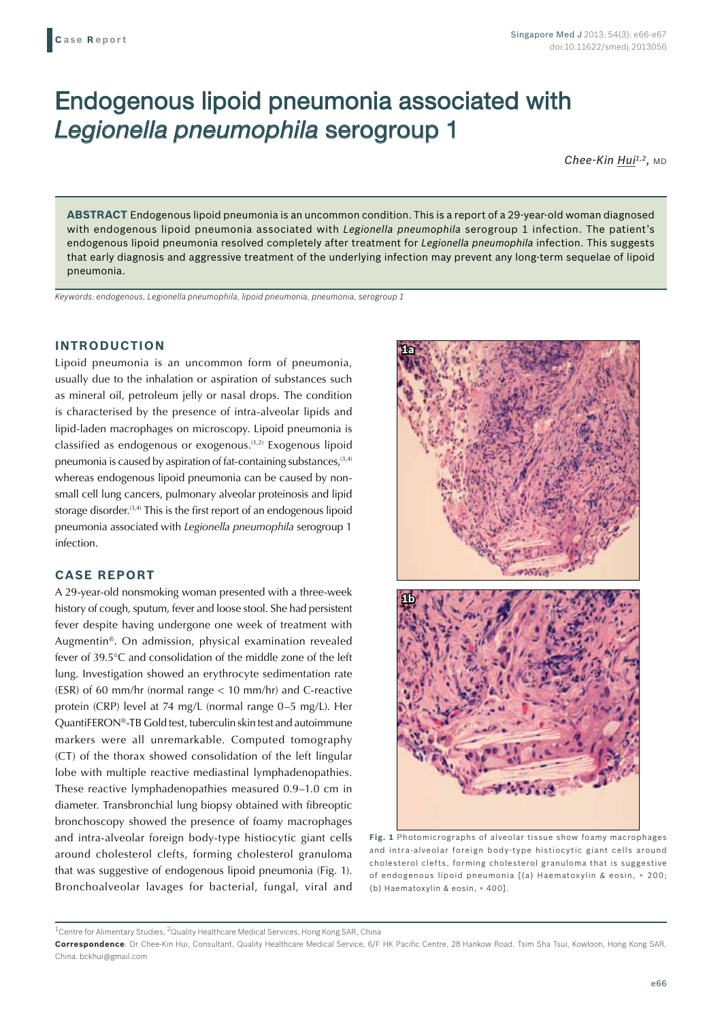# Endogenous lipoid pneumonia associated with *Legionella pneumophila* serogroup 1

Chee-Kin Hui<sup>1,2</sup>, MD

**ABSTRACT** Endogenous lipoid pneumonia is an uncommon condition. This is a report of a 29-year-old woman diagnosed with endogenous lipoid pneumonia associated with *Legionella pneumophila* serogroup 1 infection. The patient's endogenous lipoid pneumonia resolved completely after treatment for *Legionella pneumophila* infection. This suggests that early diagnosis and aggressive treatment of the underlying infection may prevent any long-term sequelae of lipoid pneumonia.

*Keywords: endogenous, Legionella pneumophila, lipoid pneumonia, pneumonia, serogroup 1*

## **INTRODUCTION**

Lipoid pneumonia is an uncommon form of pneumonia, usually due to the inhalation or aspiration of substances such as mineral oil, petroleum jelly or nasal drops. The condition is characterised by the presence of intra-alveolar lipids and lipid-laden macrophages on microscopy. Lipoid pneumonia is classified as endogenous or exogenous.(1,2) Exogenous lipoid pneumonia is caused by aspiration of fat-containing substances,  $(3,4)$ whereas endogenous lipoid pneumonia can be caused by nonsmall cell lung cancers, pulmonary alveolar proteinosis and lipid storage disorder. $(3,4)$  This is the first report of an endogenous lipoid pneumonia associated with *Legionella pneumophila* serogroup 1 infection.

#### **CASE REPORT**

A 29-year-old nonsmoking woman presented with a three-week history of cough, sputum, fever and loose stool. She had persistent fever despite having undergone one week of treatment with Augmentin®. On admission, physical examination revealed fever of 39.5°C and consolidation of the middle zone of the left lung. Investigation showed an erythrocyte sedimentation rate (ESR) of 60 mm/hr (normal range < 10 mm/hr) and C-reactive protein (CRP) level at 74 mg/L (normal range 0–5 mg/L). Her QuantiFERON®-TB Gold test, tuberculin skin test and autoimmune markers were all unremarkable. Computed tomography (CT) of the thorax showed consolidation of the left lingular lobe with multiple reactive mediastinal lymphadenopathies. These reactive lymphadenopathies measured 0.9–1.0 cm in diameter. Transbronchial lung biopsy obtained with fibreoptic bronchoscopy showed the presence of foamy macrophages and intra-alveolar foreign body-type histiocytic giant cells around cholesterol clefts, forming cholesterol granuloma that was suggestive of endogenous lipoid pneumonia (Fig. 1). Bronchoalveolar lavages for bacterial, fungal, viral and



**Fig. 1** Photomicrographs of alveolar tissue show foamy macrophages and intra-alveolar foreign body-type histiocytic giant cells around cholesterol clefts, forming cholesterol granuloma that is suggestive of endogenous lipoid pneumonia [(a) Haematoxylin & eosin, × 200; (b) Haematoxylin & eosin, × 400].

 $^{\rm 1}$ Centre for Alimentary Studies,  $^{\rm 2}$ Quality Healthcare Medical Services, Hong Kong SAR, China

**Correspondence**: Dr Chee-Kin Hui, Consultant, Quality Healthcare Medical Service, 6/F HK Pacific Centre, 28 Hankow Road, Tsim Sha Tsui, Kowloon, Hong Kong SAR, China. bckhui@gmail.com